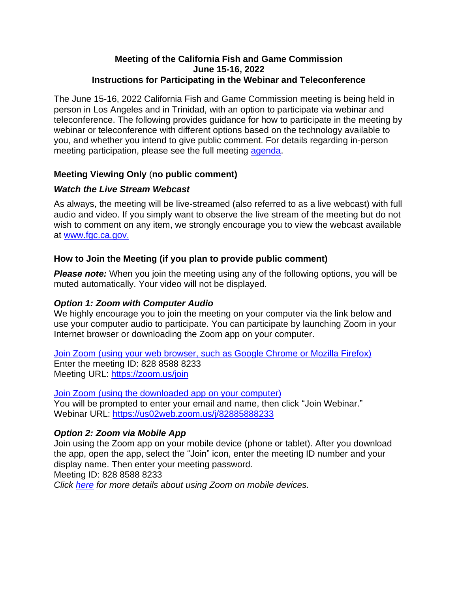#### **Meeting of the California Fish and Game Commission June 15-16, 2022 Instructions for Participating in the Webinar and Teleconference**

The June 15-16, 2022 California Fish and Game Commission meeting is being held in person in Los Angeles and in Trinidad, with an option to participate via webinar and teleconference. The following provides guidance for how to participate in the meeting by webinar or teleconference with different options based on the technology available to you, and whether you intend to give public comment. For details regarding in-person meeting participation, please see the full meeting [agenda.](https://nrm.dfg.ca.gov/FileHandler.ashx?DocumentID=201928&inline)

## **Meeting Viewing Only** (**no public comment)**

## *Watch the Live Stream Webcast*

As always, the meeting will be live-streamed (also referred to as a live webcast) with full audio and video. If you simply want to observe the live stream of the meeting but do not wish to comment on any item, we strongly encourage you to view the webcast available at [www.fgc.ca.gov.](http://www.fgc.ca.gov/)

## **How to Join the Meeting (if you plan to provide public comment)**

**Please note:** When you join the meeting using any of the following options, you will be muted automatically. Your video will not be displayed.

# *Option 1: Zoom with Computer Audio*

We highly encourage you to join the meeting on your computer via the link below and use your computer audio to participate. You can participate by launching Zoom in your Internet browser or downloading the Zoom app on your computer.

[Join Zoom \(using your web browser, such as Google Chrome or Mozilla Firefox\)](https://zoom.us/join) Enter the meeting ID: 828 8588 8233 Meeting URL:<https://zoom.us/join>

[Join Zoom \(using the downloaded app on your computer\)](https://us02web.zoom.us/j/82885888233) You will be prompted to enter your email and name, then click "Join Webinar." Webinar URL:<https://us02web.zoom.us/j/82885888233>

# *Option 2: Zoom via Mobile App*

Join using the Zoom app on your mobile device (phone or tablet). After you download the app, open the app, select the "Join" icon, enter the meeting ID number and your display name. Then enter your meeting password. Meeting ID: 828 8588 8233

*Click [here](https://support.zoom.us/hc/en-us/sections/200305413-Mobile) for more details about using Zoom on mobile devices.*